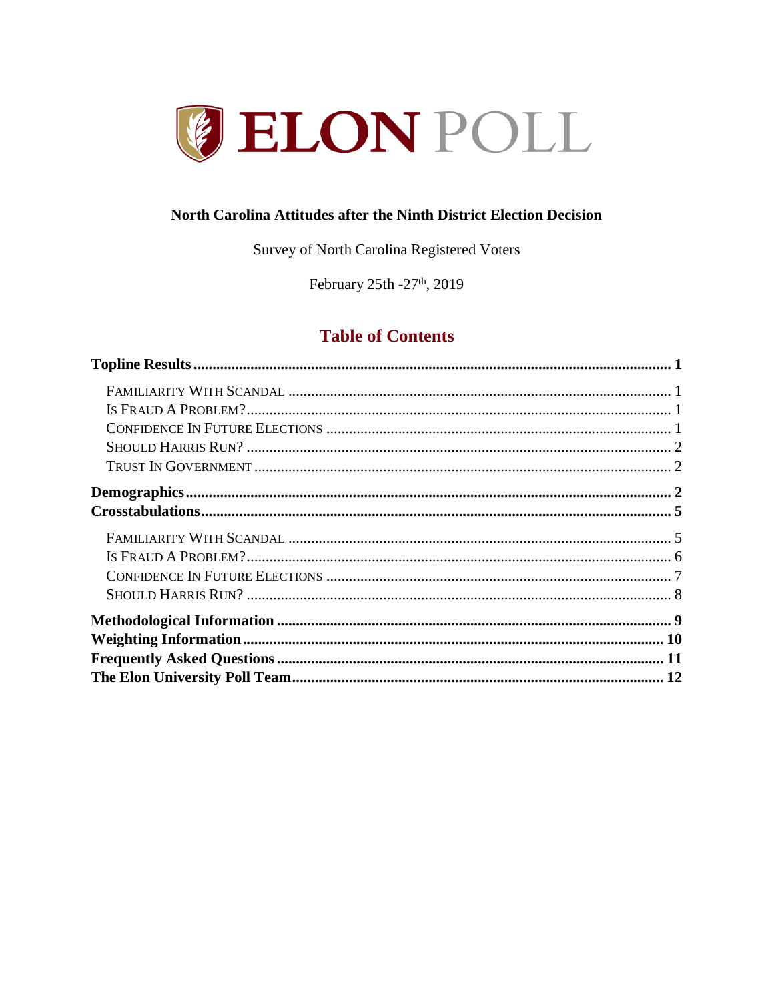

#### North Carolina Attitudes after the Ninth District Election Decision

Survey of North Carolina Registered Voters

February 25th - 27<sup>th</sup>, 2019

# **Table of Contents**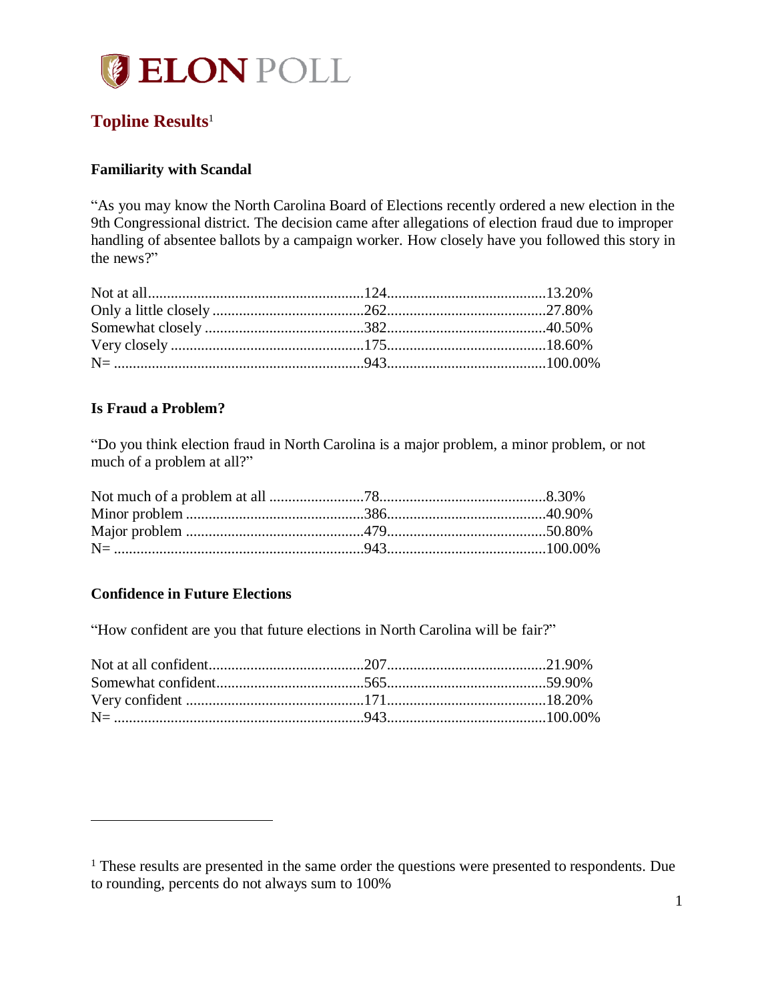

# <span id="page-1-0"></span>**Topline Results**<sup>1</sup>

#### <span id="page-1-1"></span>**Familiarity with Scandal**

"As you may know the North Carolina Board of Elections recently ordered a new election in the 9th Congressional district. The decision came after allegations of election fraud due to improper handling of absentee ballots by a campaign worker. How closely have you followed this story in the news?"

#### <span id="page-1-2"></span>**Is Fraud a Problem?**

"Do you think election fraud in North Carolina is a major problem, a minor problem, or not much of a problem at all?"

#### <span id="page-1-3"></span>**Confidence in Future Elections**

 $\overline{a}$ 

"How confident are you that future elections in North Carolina will be fair?"

<sup>&</sup>lt;sup>1</sup> These results are presented in the same order the questions were presented to respondents. Due to rounding, percents do not always sum to 100%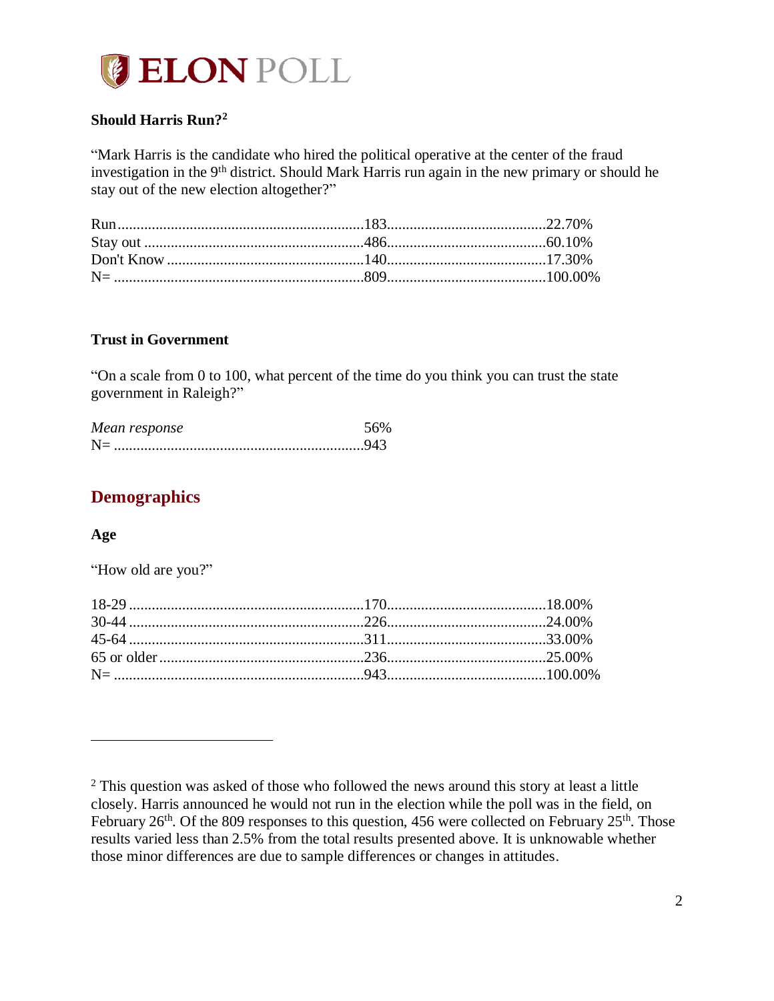

## <span id="page-2-0"></span>**Should Harris Run? 2**

"Mark Harris is the candidate who hired the political operative at the center of the fraud investigation in the 9<sup>th</sup> district. Should Mark Harris run again in the new primary or should he stay out of the new election altogether?"

#### <span id="page-2-1"></span>**Trust in Government**

"On a scale from 0 to 100, what percent of the time do you think you can trust the state government in Raleigh?"

| Mean response |  |
|---------------|--|
| $N=$          |  |

# <span id="page-2-2"></span>**Demographics**

#### **Age**

 $\overline{a}$ 

"How old are you?"

 $2$  This question was asked of those who followed the news around this story at least a little closely. Harris announced he would not run in the election while the poll was in the field, on February 26<sup>th</sup>. Of the 809 responses to this question, 456 were collected on February 25<sup>th</sup>. Those results varied less than 2.5% from the total results presented above. It is unknowable whether those minor differences are due to sample differences or changes in attitudes.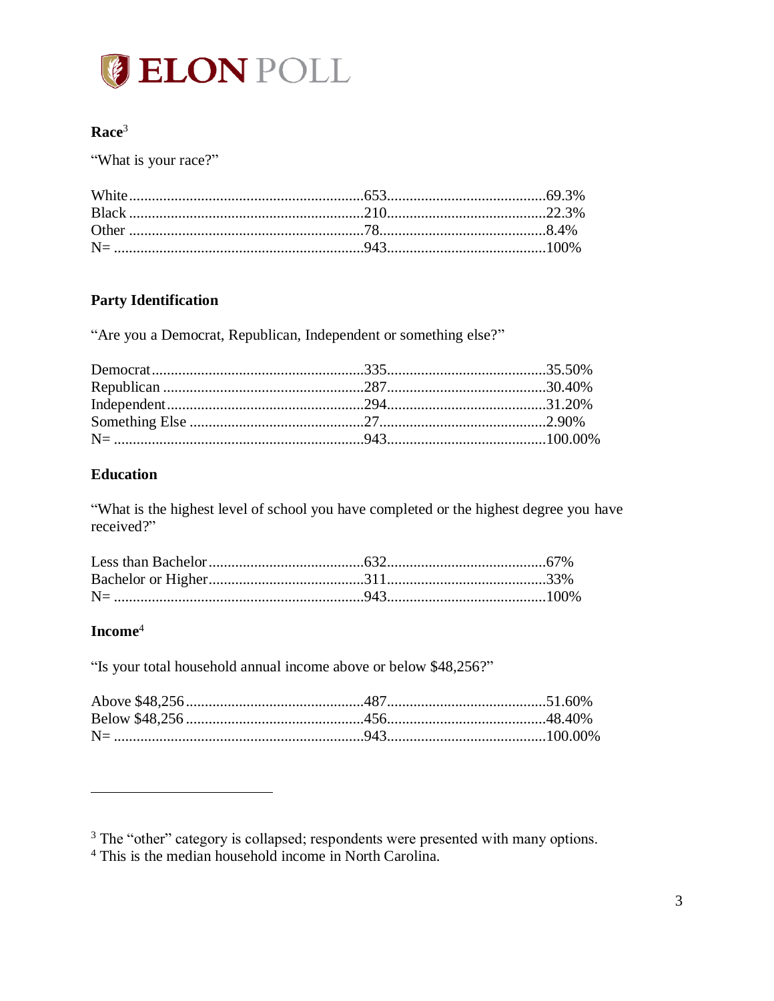

## $$

"What is your race?"

# **Party Identification**

"Are you a Democrat, Republican, Independent or something else?"

#### **Education**

"What is the highest level of school you have completed or the highest degree you have received?"

# $$

"Is your total household annual income above or below \$48,256?"

<sup>&</sup>lt;sup>3</sup> The "other" category is collapsed; respondents were presented with many options.

<sup>&</sup>lt;sup>4</sup> This is the median household income in North Carolina.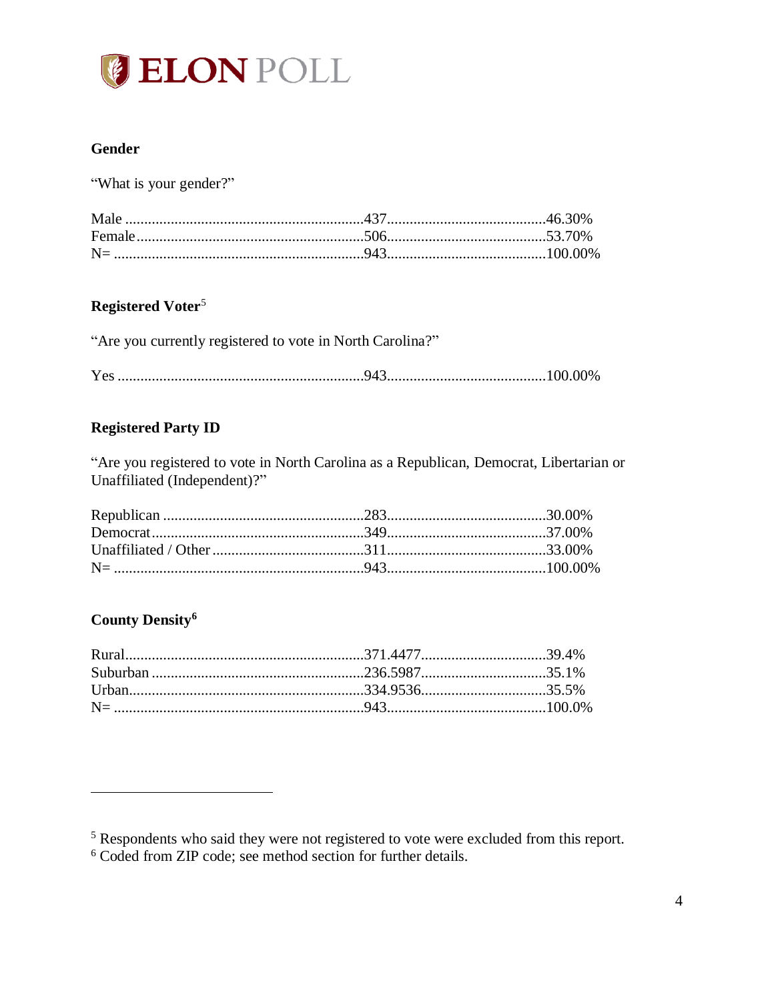

## **Gender**

"What is your gender?"

## Registered Voter<sup>5</sup>

| "Are you currently registered to vote in North Carolina?" |  |  |  |
|-----------------------------------------------------------|--|--|--|
|                                                           |  |  |  |

#### **Registered Party ID**

"Are you registered to vote in North Carolina as a Republican, Democrat, Libertarian or Unaffiliated (Independent)?"

## **County Density<sup>6</sup>**

 $5$  Respondents who said they were not registered to vote were excluded from this report.<br>6 Coded from ZIP code; see method section for further details.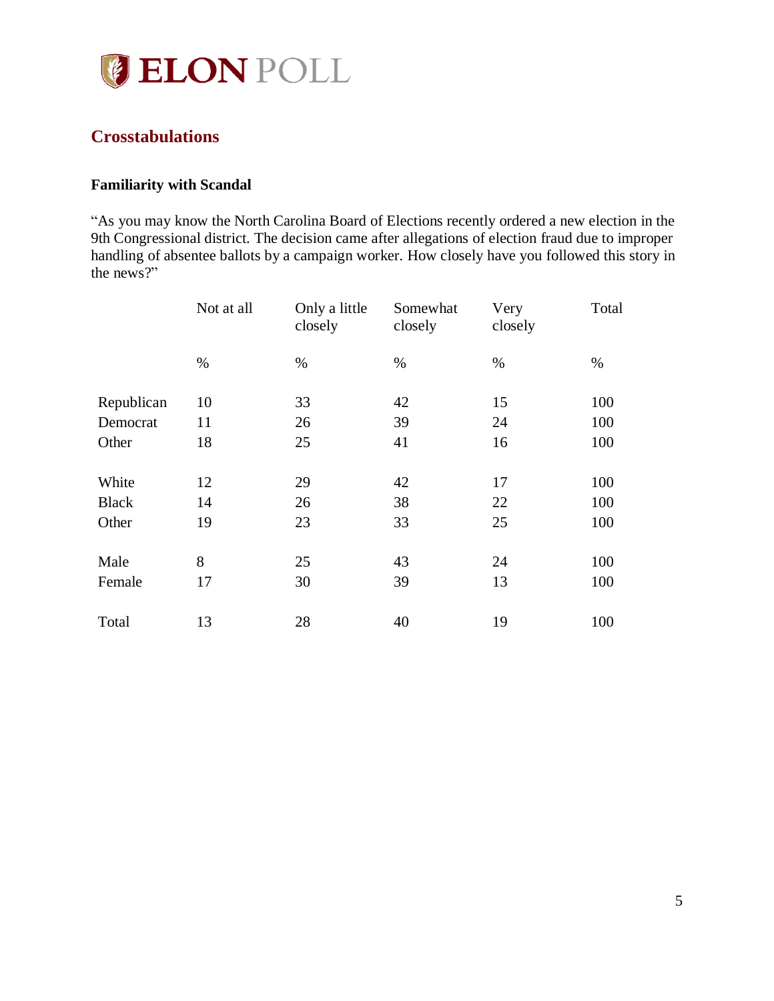

# <span id="page-5-0"></span>**Crosstabulations**

#### <span id="page-5-1"></span>**Familiarity with Scandal**

"As you may know the North Carolina Board of Elections recently ordered a new election in the 9th Congressional district. The decision came after allegations of election fraud due to improper handling of absentee ballots by a campaign worker. How closely have you followed this story in the news?"

|              | Not at all | Only a little<br>closely | Somewhat<br>closely | Very<br>closely | Total |
|--------------|------------|--------------------------|---------------------|-----------------|-------|
|              | $\%$       | $\%$                     | $\%$                | %               | %     |
| Republican   | 10         | 33                       | 42                  | 15              | 100   |
| Democrat     | 11         | 26                       | 39                  | 24              | 100   |
| Other        | 18         | 25                       | 41                  | 16              | 100   |
| White        | 12         | 29                       | 42                  | 17              | 100   |
| <b>Black</b> | 14         | 26                       | 38                  | 22              | 100   |
| Other        | 19         | 23                       | 33                  | 25              | 100   |
| Male         | 8          | 25                       | 43                  | 24              | 100   |
| Female       | 17         | 30                       | 39                  | 13              | 100   |
| Total        | 13         | 28                       | 40                  | 19              | 100   |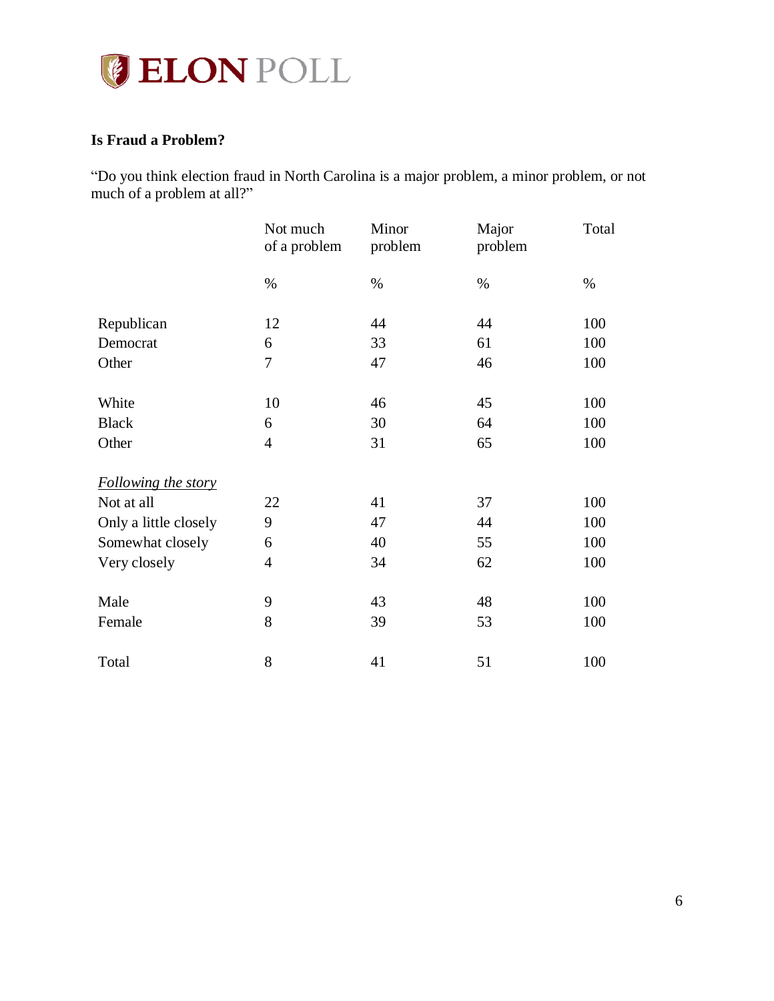

## <span id="page-6-0"></span>**Is Fraud a Problem?**

"Do you think election fraud in North Carolina is a major problem, a minor problem, or not much of a problem at all?"

|                       | Not much<br>of a problem | Minor<br>problem | Major<br>problem | Total |
|-----------------------|--------------------------|------------------|------------------|-------|
|                       | $\%$                     | $\%$             | $\%$             | $\%$  |
| Republican            | 12                       | 44               | 44               | 100   |
| Democrat              | 6                        | 33               | 61               | 100   |
| Other                 | $\boldsymbol{7}$         | 47               | 46               | 100   |
| White                 | 10                       | 46               | 45               | 100   |
| <b>Black</b>          | 6                        | 30               | 64               | 100   |
| Other                 | $\overline{4}$           | 31               | 65               | 100   |
| Following the story   |                          |                  |                  |       |
| Not at all            | 22                       | 41               | 37               | 100   |
| Only a little closely | 9                        | 47               | 44               | 100   |
| Somewhat closely      | 6                        | 40               | 55               | 100   |
| Very closely          | $\overline{4}$           | 34               | 62               | 100   |
| Male                  | 9                        | 43               | 48               | 100   |
| Female                | 8                        | 39               | 53               | 100   |
| Total                 | 8                        | 41               | 51               | 100   |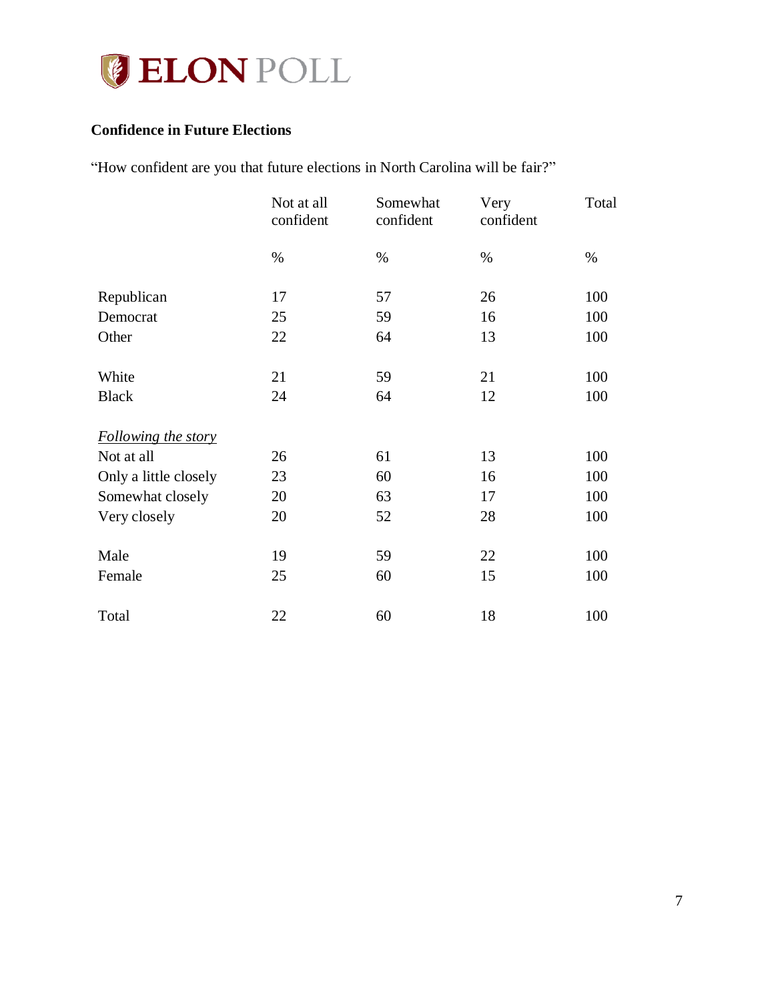

## <span id="page-7-0"></span>**Confidence in Future Elections**

"How confident are you that future elections in North Carolina will be fair?"

|                       | Not at all<br>confident | Somewhat<br>confident | Very<br>confident | Total |
|-----------------------|-------------------------|-----------------------|-------------------|-------|
|                       | $\%$                    | $\%$                  | $\%$              | $\%$  |
| Republican            | 17                      | 57                    | 26                | 100   |
| Democrat              | 25                      | 59                    | 16                | 100   |
| Other                 | 22                      | 64                    | 13                | 100   |
| White                 | 21                      | 59                    | 21                | 100   |
| <b>Black</b>          | 24                      | 64                    | 12                | 100   |
| Following the story   |                         |                       |                   |       |
| Not at all            | 26                      | 61                    | 13                | 100   |
| Only a little closely | 23                      | 60                    | 16                | 100   |
| Somewhat closely      | 20                      | 63                    | 17                | 100   |
| Very closely          | 20                      | 52                    | 28                | 100   |
| Male                  | 19                      | 59                    | 22                | 100   |
| Female                | 25                      | 60                    | 15                | 100   |
| Total                 | 22                      | 60                    | 18                | 100   |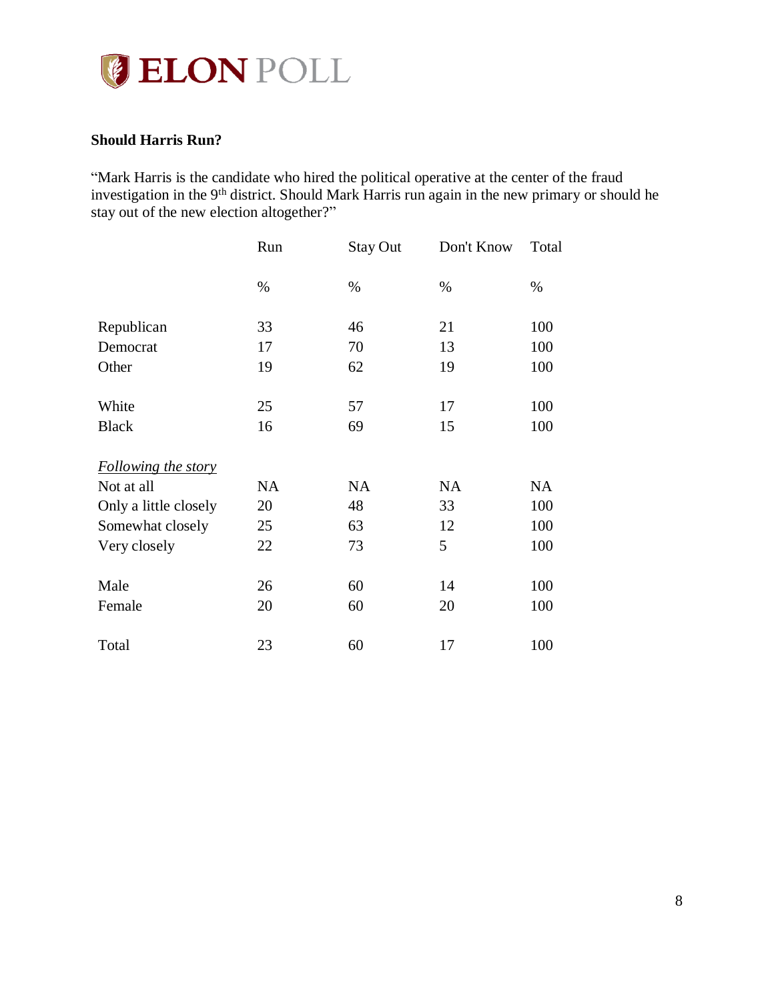

#### <span id="page-8-0"></span>**Should Harris Run?**

"Mark Harris is the candidate who hired the political operative at the center of the fraud investigation in the 9<sup>th</sup> district. Should Mark Harris run again in the new primary or should he stay out of the new election altogether?"

|                            | Run       | <b>Stay Out</b> | Don't Know | Total     |
|----------------------------|-----------|-----------------|------------|-----------|
|                            | $\%$      | $\%$            | $\%$       | $\%$      |
| Republican                 | 33        | 46              | 21         | 100       |
| Democrat                   | 17        | 70              | 13         | 100       |
| Other                      | 19        | 62              | 19         | 100       |
| White                      | 25        | 57              | 17         | 100       |
| <b>Black</b>               | 16        | 69              | 15         | 100       |
| <b>Following the story</b> |           |                 |            |           |
| Not at all                 | <b>NA</b> | <b>NA</b>       | <b>NA</b>  | <b>NA</b> |
| Only a little closely      | 20        | 48              | 33         | 100       |
| Somewhat closely           | 25        | 63              | 12         | 100       |
| Very closely               | 22        | 73              | 5          | 100       |
| Male                       | 26        | 60              | 14         | 100       |
| Female                     | 20        | 60              | 20         | 100       |
| Total                      | 23        | 60              | 17         | 100       |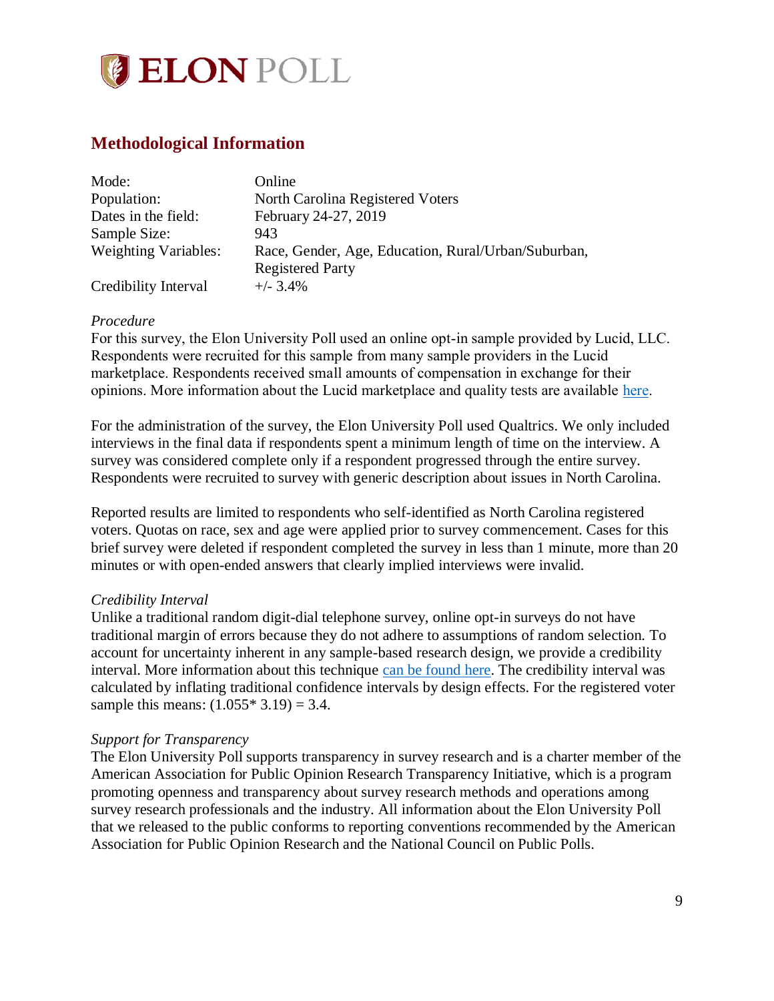

# <span id="page-9-0"></span>**Methodological Information**

| Mode:                       | Online                                              |
|-----------------------------|-----------------------------------------------------|
| Population:                 | North Carolina Registered Voters                    |
| Dates in the field:         | February 24-27, 2019                                |
| Sample Size:                | 943                                                 |
| <b>Weighting Variables:</b> | Race, Gender, Age, Education, Rural/Urban/Suburban, |
|                             | <b>Registered Party</b>                             |
| Credibility Interval        | $+/-$ 3.4%                                          |

#### *Procedure*

For this survey, the Elon University Poll used an online opt-in sample provided by Lucid, LLC. Respondents were recruited for this sample from many sample providers in the Lucid marketplace. Respondents received small amounts of compensation in exchange for their opinions. More information about the Lucid marketplace and quality tests are available [here.](https://luc.id/quality/)

For the administration of the survey, the Elon University Poll used Qualtrics. We only included interviews in the final data if respondents spent a minimum length of time on the interview. A survey was considered complete only if a respondent progressed through the entire survey. Respondents were recruited to survey with generic description about issues in North Carolina.

Reported results are limited to respondents who self-identified as North Carolina registered voters. Quotas on race, sex and age were applied prior to survey commencement. Cases for this brief survey were deleted if respondent completed the survey in less than 1 minute, more than 20 minutes or with open-ended answers that clearly implied interviews were invalid.

#### *Credibility Interval*

Unlike a traditional random digit-dial telephone survey, online opt-in surveys do not have traditional margin of errors because they do not adhere to assumptions of random selection. To account for uncertainty inherent in any sample-based research design, we provide a credibility interval. More information about this technique [can be found here.](https://www.aapor.org/Education-Resources/Election-Polling-Resources/Margin-of-Sampling-Error-Credibility-Interval.aspx) The credibility interval was calculated by inflating traditional confidence intervals by design effects. For the registered voter sample this means:  $(1.055 * 3.19) = 3.4$ .

#### *Support for Transparency*

The Elon University Poll supports transparency in survey research and is a charter member of the American Association for Public Opinion Research Transparency Initiative, which is a program promoting openness and transparency about survey research methods and operations among survey research professionals and the industry. All information about the Elon University Poll that we released to the public conforms to reporting conventions recommended by the American Association for Public Opinion Research and the National Council on Public Polls.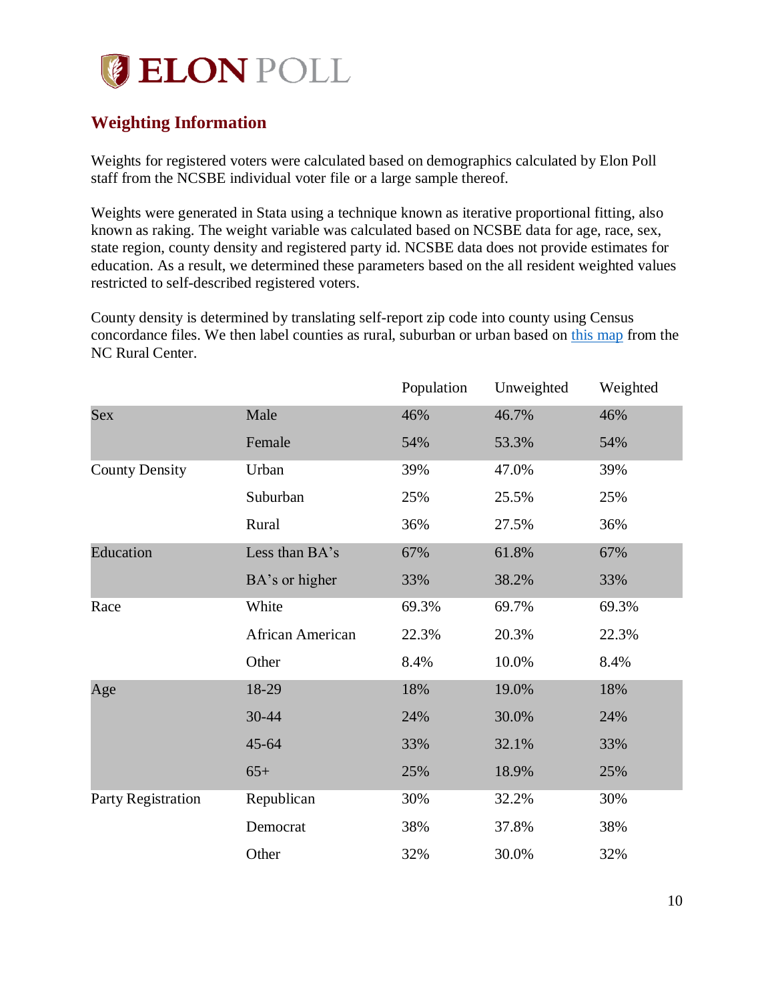# **ELON POLL**

# <span id="page-10-0"></span>**Weighting Information**

Weights for registered voters were calculated based on demographics calculated by Elon Poll staff from the NCSBE individual voter file or a large sample thereof.

Weights were generated in Stata using a technique known as iterative proportional fitting, also known as raking. The weight variable was calculated based on NCSBE data for age, race, sex, state region, county density and registered party id. NCSBE data does not provide estimates for education. As a result, we determined these parameters based on the all resident weighted values restricted to self-described registered voters.

County density is determined by translating self-report zip code into county using Census concordance files. We then label counties as rural, suburban or urban based on [this map](https://www.ncruralcenter.org/wp-content/uploads/2018/01/Rural-Map-2018-1.png) from the NC Rural Center.

|                       |                  | Population | Unweighted | Weighted |
|-----------------------|------------------|------------|------------|----------|
| Sex                   | Male             | 46%        | 46.7%      | 46%      |
|                       | Female           | 54%        | 53.3%      | 54%      |
| <b>County Density</b> | Urban            | 39%        | 47.0%      | 39%      |
|                       | Suburban         | 25%        | 25.5%      | 25%      |
|                       | Rural            | 36%        | 27.5%      | 36%      |
| Education             | Less than BA's   | 67%        | 61.8%      | 67%      |
|                       | BA's or higher   | 33%        | 38.2%      | 33%      |
| Race                  | White            | 69.3%      | 69.7%      | 69.3%    |
|                       | African American | 22.3%      | 20.3%      | 22.3%    |
|                       | Other            | 8.4%       | 10.0%      | 8.4%     |
| Age                   | 18-29            | 18%        | 19.0%      | 18%      |
|                       | 30-44            | 24%        | 30.0%      | 24%      |
|                       | $45 - 64$        | 33%        | 32.1%      | 33%      |
|                       | $65+$            | 25%        | 18.9%      | 25%      |
| Party Registration    | Republican       | 30%        | 32.2%      | 30%      |
|                       | Democrat         | 38%        | 37.8%      | 38%      |
|                       | Other            | 32%        | 30.0%      | 32%      |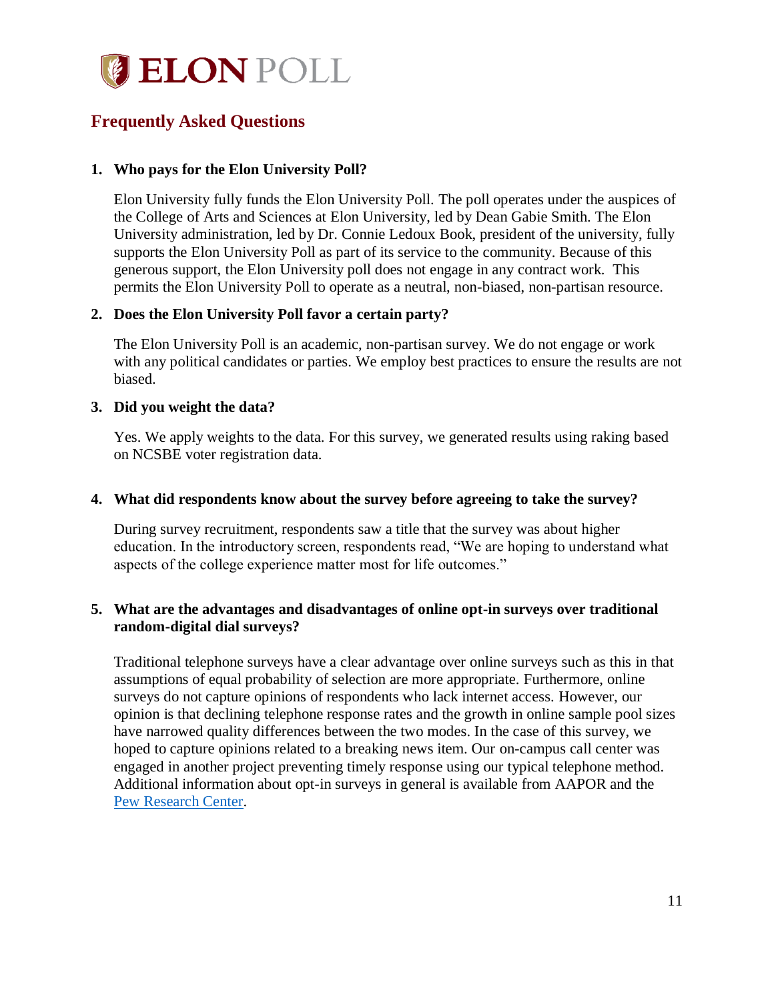

# <span id="page-11-0"></span>**Frequently Asked Questions**

#### **1. Who pays for the Elon University Poll?**

Elon University fully funds the Elon University Poll. The poll operates under the auspices of the College of Arts and Sciences at Elon University, led by Dean Gabie Smith. The Elon University administration, led by Dr. Connie Ledoux Book, president of the university, fully supports the Elon University Poll as part of its service to the community. Because of this generous support, the Elon University poll does not engage in any contract work. This permits the Elon University Poll to operate as a neutral, non-biased, non-partisan resource.

#### **2. Does the Elon University Poll favor a certain party?**

The Elon University Poll is an academic, non-partisan survey. We do not engage or work with any political candidates or parties. We employ best practices to ensure the results are not biased.

#### **3. Did you weight the data?**

Yes. We apply weights to the data. For this survey, we generated results using raking based on NCSBE voter registration data.

#### **4. What did respondents know about the survey before agreeing to take the survey?**

During survey recruitment, respondents saw a title that the survey was about higher education. In the introductory screen, respondents read, "We are hoping to understand what aspects of the college experience matter most for life outcomes."

#### **5. What are the advantages and disadvantages of online opt-in surveys over traditional random-digital dial surveys?**

Traditional telephone surveys have a clear advantage over online surveys such as this in that assumptions of equal probability of selection are more appropriate. Furthermore, online surveys do not capture opinions of respondents who lack internet access. However, our opinion is that declining telephone response rates and the growth in online sample pool sizes have narrowed quality differences between the two modes. In the case of this survey, we hoped to capture opinions related to a breaking news item. Our on-campus call center was engaged in another project preventing timely response using our typical telephone method. Additional information about opt-in surveys in general is available from AAPOR and the [Pew Research Center.](http://www.pewresearch.org/fact-tank/2018/08/06/what-are-nonprobability-surveys/)